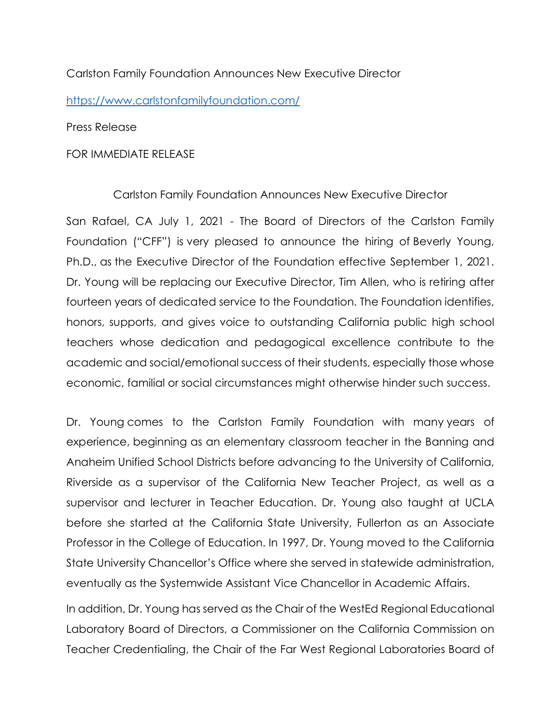## Carlston Family Foundation Announces New Executive Director

https://www.carlstonfamilyfoundation.com/

Press Release

## FOR IMMEDIATE RELEASE

Carlston Family Foundation Announces New Executive Director

San Rafael, CA July 1, 2021 - The Board of Directors of the Carlston Family Foundation ("CFF") is very pleased to announce the hiring of Beverly Young, Ph.D., as the Executive Director of the Foundation effective September 1, 2021. Dr. Young will be replacing our Executive Director, Tim Allen, who is retiring after fourteen years of dedicated service to the Foundation. The Foundation identifies, honors, supports, and gives voice to outstanding California public high school teachers whose dedication and pedagogical excellence contribute to the academic and social/emotional success of their students, especially those whose economic, familial or social circumstances might otherwise hinder such success.

Dr. Young comes to the Carlston Family Foundation with many years of experience, beginning as an elementary classroom teacher in the Banning and Anaheim Unified School Districts before advancing to the University of California, Riverside as a supervisor of the California New Teacher Project, as well as a supervisor and lecturer in Teacher Education. Dr. Young also taught at UCLA before she started at the California State University, Fullerton as an Associate Professor in the College of Education. In 1997, Dr. Young moved to the California State University Chancellor's Office where she served in statewide administration, eventually as the Systemwide Assistant Vice Chancellor in Academic Affairs.

In addition, Dr. Young has served as the Chair of the WestEd Regional Educational Laboratory Board of Directors, a Commissioner on the California Commission on Teacher Credentialing, the Chair of the Far West Regional Laboratories Board of